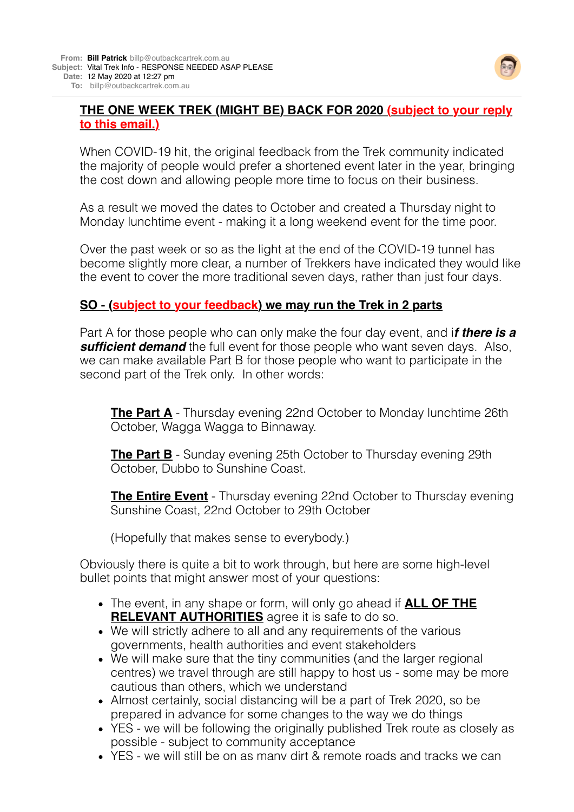

## **THE ONE WEEK TREK (MIGHT BE) BACK FOR 2020 (subject to your reply to this email.)**

When COVID-19 hit, the original feedback from the Trek community indicated the majority of people would prefer a shortened event later in the year, bringing the cost down and allowing people more time to focus on their business.

As a result we moved the dates to October and created a Thursday night to Monday lunchtime event - making it a long weekend event for the time poor.

Over the past week or so as the light at the end of the COVID-19 tunnel has become slightly more clear, a number of Trekkers have indicated they would like the event to cover the more traditional seven days, rather than just four days.

## **SO - (subject to your feedback) we may run the Trek in 2 parts**

Part A for those people who can only make the four day event, and i*f there is a* **sufficient demand** the full event for those people who want seven days. Also, we can make available Part B for those people who want to participate in the second part of the Trek only. In other words:

**The Part A** - Thursday evening 22nd October to Monday lunchtime 26th October, Wagga Wagga to Binnaway.

**The Part B** - Sunday evening 25th October to Thursday evening 29th October, Dubbo to Sunshine Coast.

**The Entire Event** - Thursday evening 22nd October to Thursday evening Sunshine Coast, 22nd October to 29th October

(Hopefully that makes sense to everybody.)

Obviously there is quite a bit to work through, but here are some high-level bullet points that might answer most of your questions:

- The event, in any shape or form, will only go ahead if **ALL OF THE RELEVANT AUTHORITIES** agree it is safe to do so.
- We will strictly adhere to all and any requirements of the various governments, health authorities and event stakeholders
- We will make sure that the tiny communities (and the larger regional centres) we travel through are still happy to host us - some may be more cautious than others, which we understand
- Almost certainly, social distancing will be a part of Trek 2020, so be prepared in advance for some changes to the way we do things
- YES we will be following the originally published Trek route as closely as possible - subject to community acceptance
- YES we will still be on as many dirt & remote roads and tracks we can